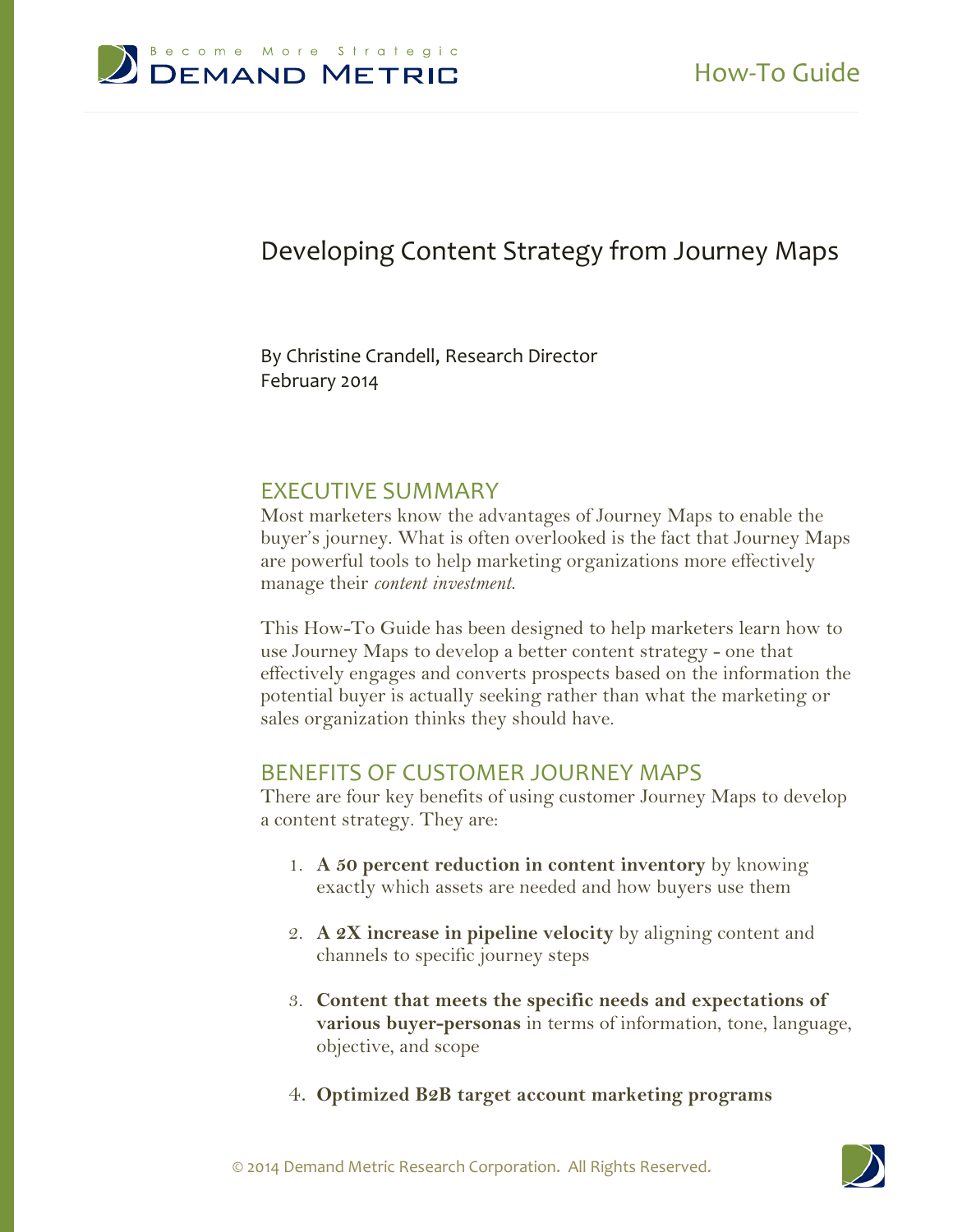

# Developing Content Strategy from Journey Maps

#### By Christine Crandell, Research Director February 2014

#### EXECUTIVE SUMMARY

Most marketers know the advantages of Journey Maps to enable the buyer's journey. What is often overlooked is the fact that Journey Maps are powerful tools to help marketing organizations more effectively manage their *content investment*.

This How-To Guide has been designed to help marketers learn how to use Journey Maps to develop a better content strategy - one that effectively engages and converts prospects based on the information the potential buyer is actually seeking rather than what the marketing or sales organization thinks they should have.

#### BENEFITS OF CUSTOMER JOURNEY MAPS

There are four key benefits of using customer Journey Maps to develop a content strategy. They are:

- 1. **A 50 percent reduction in content inventory** by knowing exactly which assets are needed and how buyers use them
- 2. **A 2X increase in pipeline velocity** by aligning content and channels to specific journey steps
- 3. **Content that meets the specific needs and expectations of various buyer-personas** in terms of information, tone, language, objective, and scope
- 4. **Optimized B2B target account marketing programs**

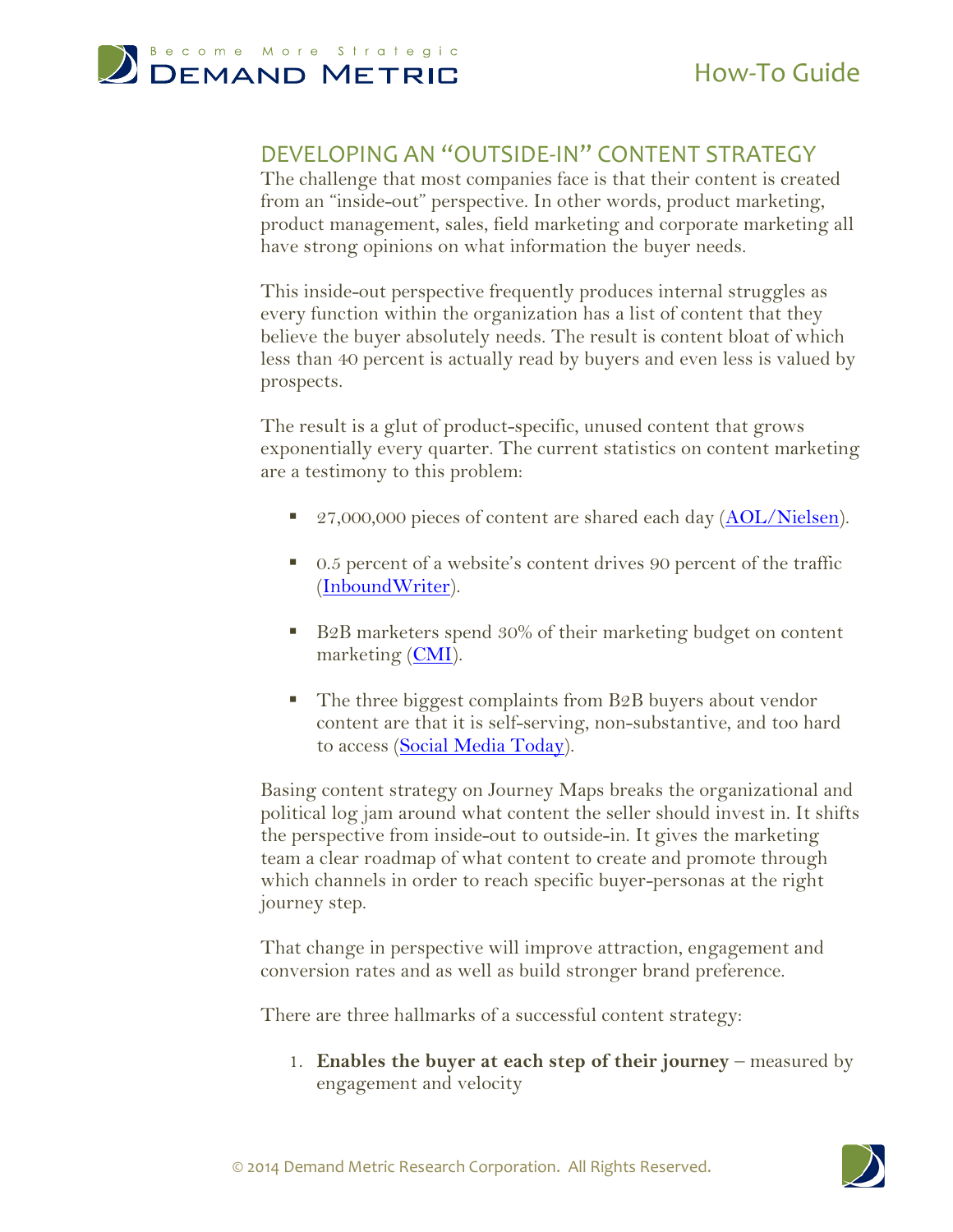

#### DEVELOPING AN "OUTSIDE-IN" CONTENT STRATEGY

The challenge that most companies face is that their content is created from an "inside-out" perspective. In other words, product marketing, product management, sales, field marketing and corporate marketing all have strong opinions on what information the buyer needs.

This inside-out perspective frequently produces internal struggles as every function within the organization has a list of content that they believe the buyer absolutely needs. The result is content bloat of which less than 40 percent is actually read by buyers and even less is valued by prospects.

The result is a glut of product-specific, unused content that grows exponentially every quarter. The current statistics on content marketing are a testimony to this problem:

- 27,000,000 pieces of content are shared each day [\(AOL/Nielsen\)](http://www.nielsen.com/).
- 0.5 percent of a website's content drives 90 percent of the traffic [\(InboundWriter\)](http://www.inboundwriter.com/).
- B2B marketers spend 30% of their marketing budget on content marketing [\(CMI\)](http://contentmarketinginstitute.com/research/).
- The three biggest complaints from B2B buyers about vendor content are that it is self-serving, non-substantive, and too hard to access [\(Social Media Today\)](http://socialmediatoday.com/).

Basing content strategy on Journey Maps breaks the organizational and political log jam around what content the seller should invest in. It shifts the perspective from inside-out to outside-in. It gives the marketing team a clear roadmap of what content to create and promote through which channels in order to reach specific buyer-personas at the right journey step.

That change in perspective will improve attraction, engagement and conversion rates and as well as build stronger brand preference.

There are three hallmarks of a successful content strategy:

1. **Enables the buyer at each step of their journey** – measured by engagement and velocity

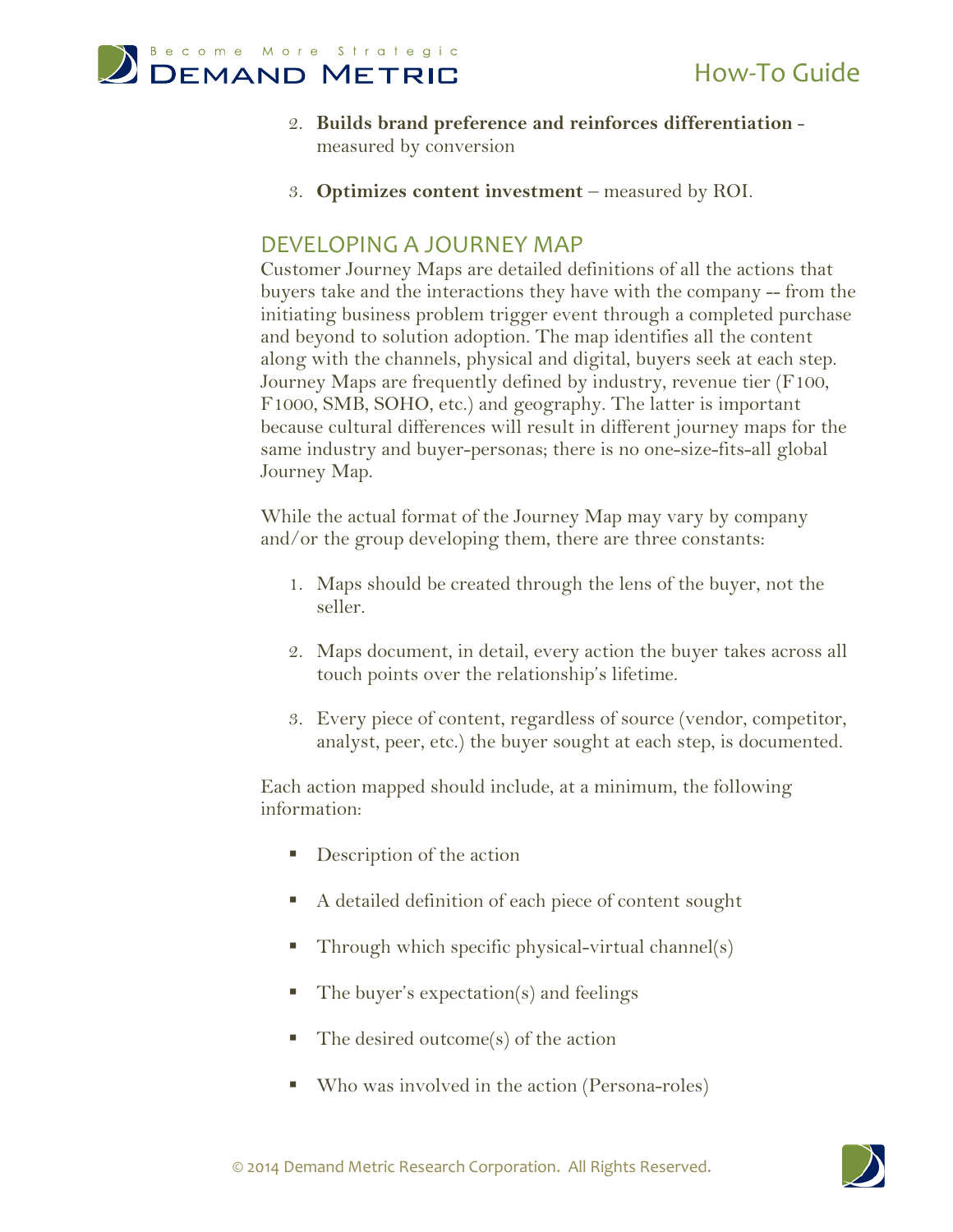

- 2. **Builds brand preference and reinforces differentiation** measured by conversion
- 3. **Optimizes content investment** measured by ROI.

### DEVELOPING A JOURNEY MAP

Customer Journey Maps are detailed definitions of all the actions that buyers take and the interactions they have with the company -- from the initiating business problem trigger event through a completed purchase and beyond to solution adoption. The map identifies all the content along with the channels, physical and digital, buyers seek at each step. Journey Maps are frequently defined by industry, revenue tier (F100, F1000, SMB, SOHO, etc.) and geography. The latter is important because cultural differences will result in different journey maps for the same industry and buyer-personas; there is no one-size-fits-all global Journey Map.

While the actual format of the Journey Map may vary by company and/or the group developing them, there are three constants:

- 1. Maps should be created through the lens of the buyer, not the seller.
- 2. Maps document, in detail, every action the buyer takes across all touch points over the relationship's lifetime.
- 3. Every piece of content, regardless of source (vendor, competitor, analyst, peer, etc.) the buyer sought at each step, is documented.

Each action mapped should include, at a minimum, the following information:

- **Description of the action**
- A detailed definition of each piece of content sought
- Through which specific physical-virtual channel(s)
- The buyer's expectation(s) and feelings
- The desired outcome(s) of the action
- Who was involved in the action (Persona-roles)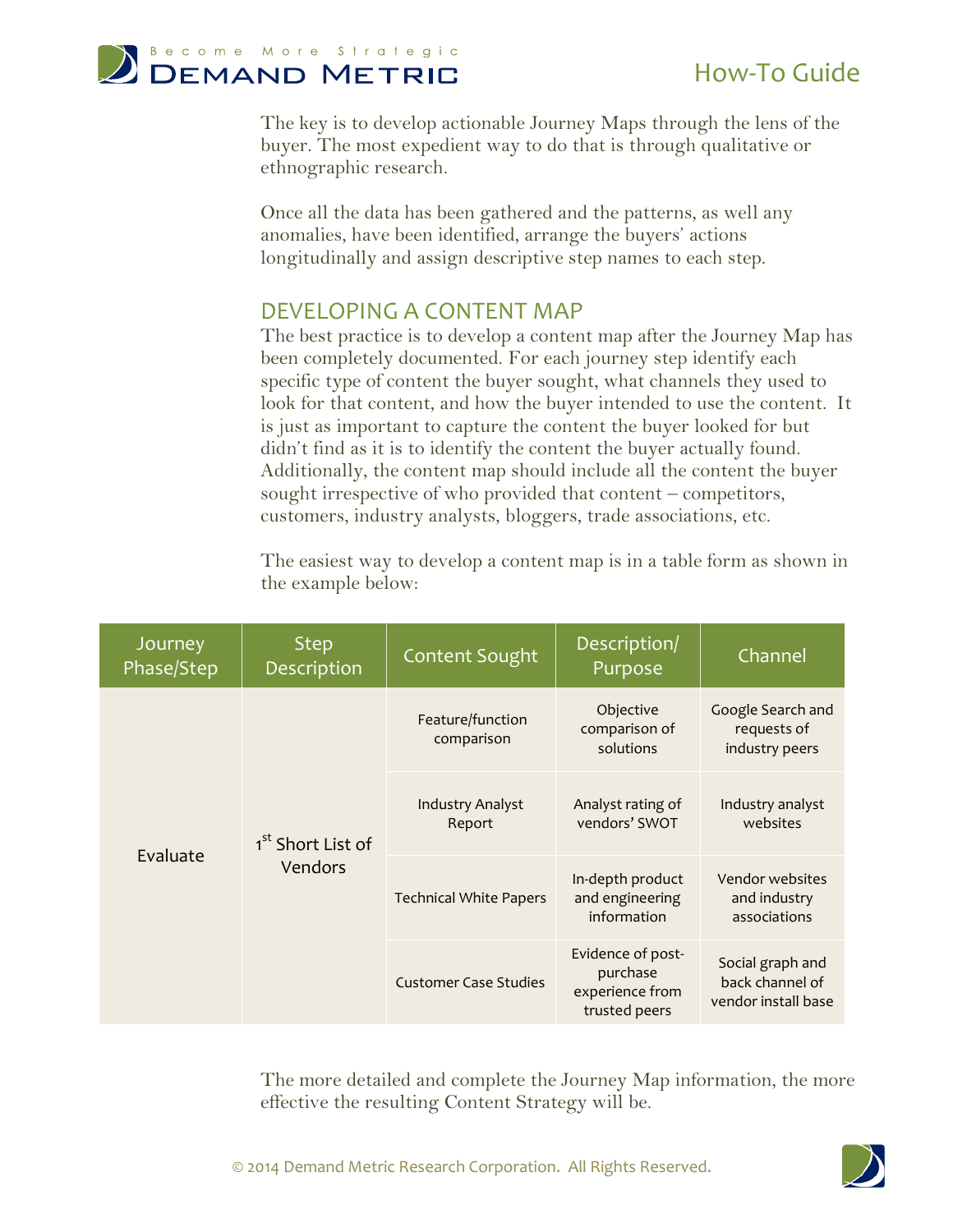

The key is to develop actionable Journey Maps through the lens of the buyer. The most expedient way to do that is through qualitative or ethnographic research.

Once all the data has been gathered and the patterns, as well any anomalies, have been identified, arrange the buyers' actions longitudinally and assign descriptive step names to each step.

### DEVELOPING A CONTENT MAP

The best practice is to develop a content map after the Journey Map has been completely documented. For each journey step identify each specific type of content the buyer sought, what channels they used to look for that content, and how the buyer intended to use the content. It is just as important to capture the content the buyer looked for but didn't find as it is to identify the content the buyer actually found. Additionally, the content map should include all the content the buyer sought irrespective of who provided that content – competitors, customers, industry analysts, bloggers, trade associations, etc.

The easiest way to develop a content map is in a table form as shown in the example below:

| Journey<br>Phase/Step | <b>Step</b><br>Description               | Content Sought                    | Description/<br>Purpose                                           | Channel                                                    |
|-----------------------|------------------------------------------|-----------------------------------|-------------------------------------------------------------------|------------------------------------------------------------|
| Evaluate              | 1 <sup>st</sup> Short List of<br>Vendors | Feature/function<br>comparison    | Objective<br>comparison of<br>solutions                           | Google Search and<br>requests of<br>industry peers         |
|                       |                                          | <b>Industry Analyst</b><br>Report | Analyst rating of<br>vendors' SWOT                                | Industry analyst<br>websites                               |
|                       |                                          | <b>Technical White Papers</b>     | In-depth product<br>and engineering<br>information                | Vendor websites<br>and industry<br>associations            |
|                       |                                          | <b>Customer Case Studies</b>      | Evidence of post-<br>purchase<br>experience from<br>trusted peers | Social graph and<br>back channel of<br>vendor install base |

The more detailed and complete the Journey Map information, the more effective the resulting Content Strategy will be.

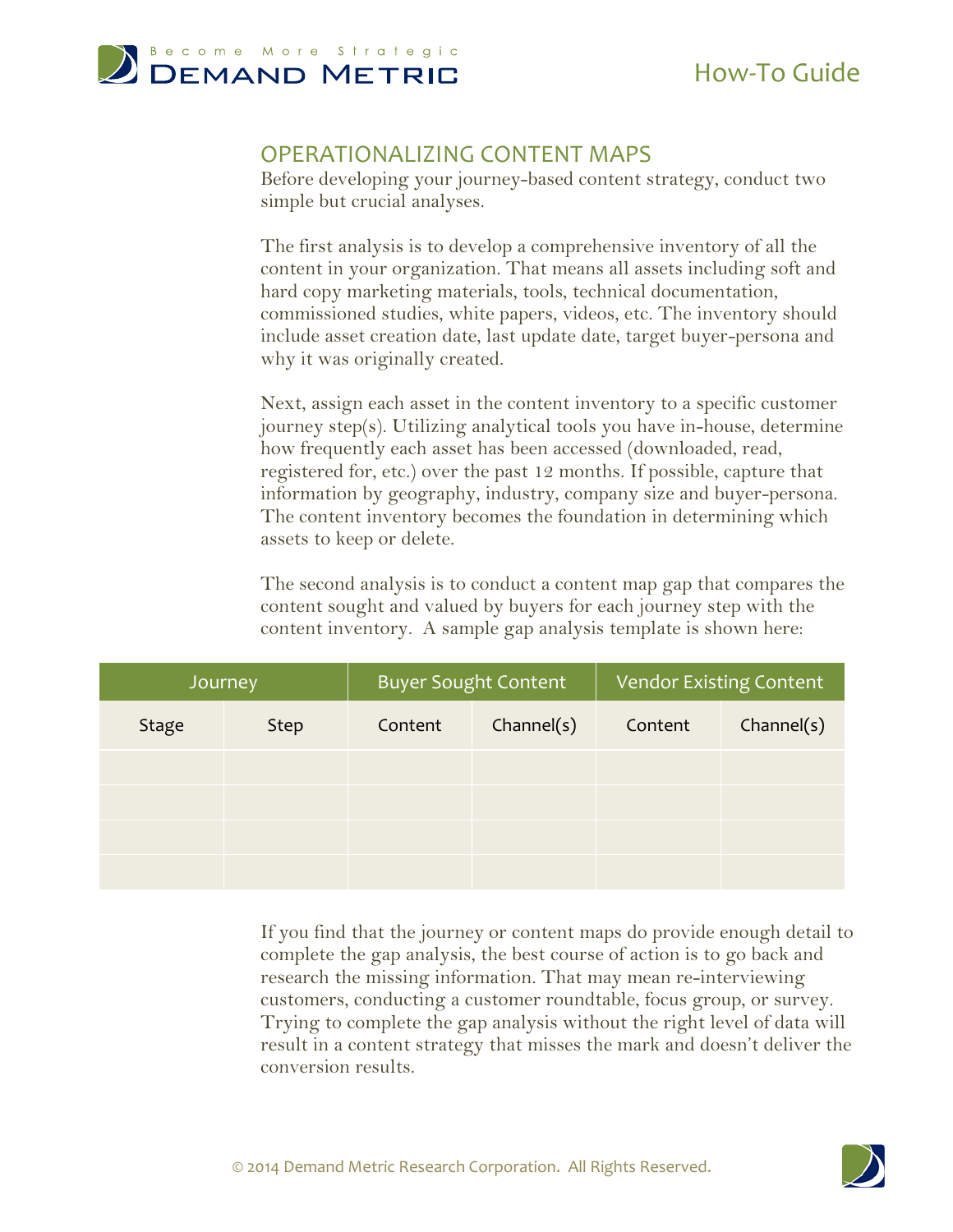

# How-To Guide

#### OPERATIONALIZING CONTENT MAPS

Before developing your journey-based content strategy, conduct two simple but crucial analyses.

The first analysis is to develop a comprehensive inventory of all the content in your organization. That means all assets including soft and hard copy marketing materials, tools, technical documentation, commissioned studies, white papers, videos, etc. The inventory should include asset creation date, last update date, target buyer-persona and why it was originally created.

Next, assign each asset in the content inventory to a specific customer journey step(s). Utilizing analytical tools you have in-house, determine how frequently each asset has been accessed (downloaded, read, registered for, etc.) over the past 12 months. If possible, capture that information by geography, industry, company size and buyer-persona. The content inventory becomes the foundation in determining which assets to keep or delete.

The second analysis is to conduct a content map gap that compares the content sought and valued by buyers for each journey step with the content inventory. A sample gap analysis template is shown here:

| Journey      |             | <b>Buyer Sought Content</b> |            | <b>Vendor Existing Content</b> |            |
|--------------|-------------|-----------------------------|------------|--------------------------------|------------|
| <b>Stage</b> | <b>Step</b> | Content                     | Channel(s) | Content                        | Channel(s) |
|              |             |                             |            |                                |            |
|              |             |                             |            |                                |            |
|              |             |                             |            |                                |            |
|              |             |                             |            |                                |            |

If you find that the journey or content maps do provide enough detail to complete the gap analysis, the best course of action is to go back and research the missing information. That may mean re-interviewing customers, conducting a customer roundtable, focus group, or survey. Trying to complete the gap analysis without the right level of data will result in a content strategy that misses the mark and doesn't deliver the conversion results.

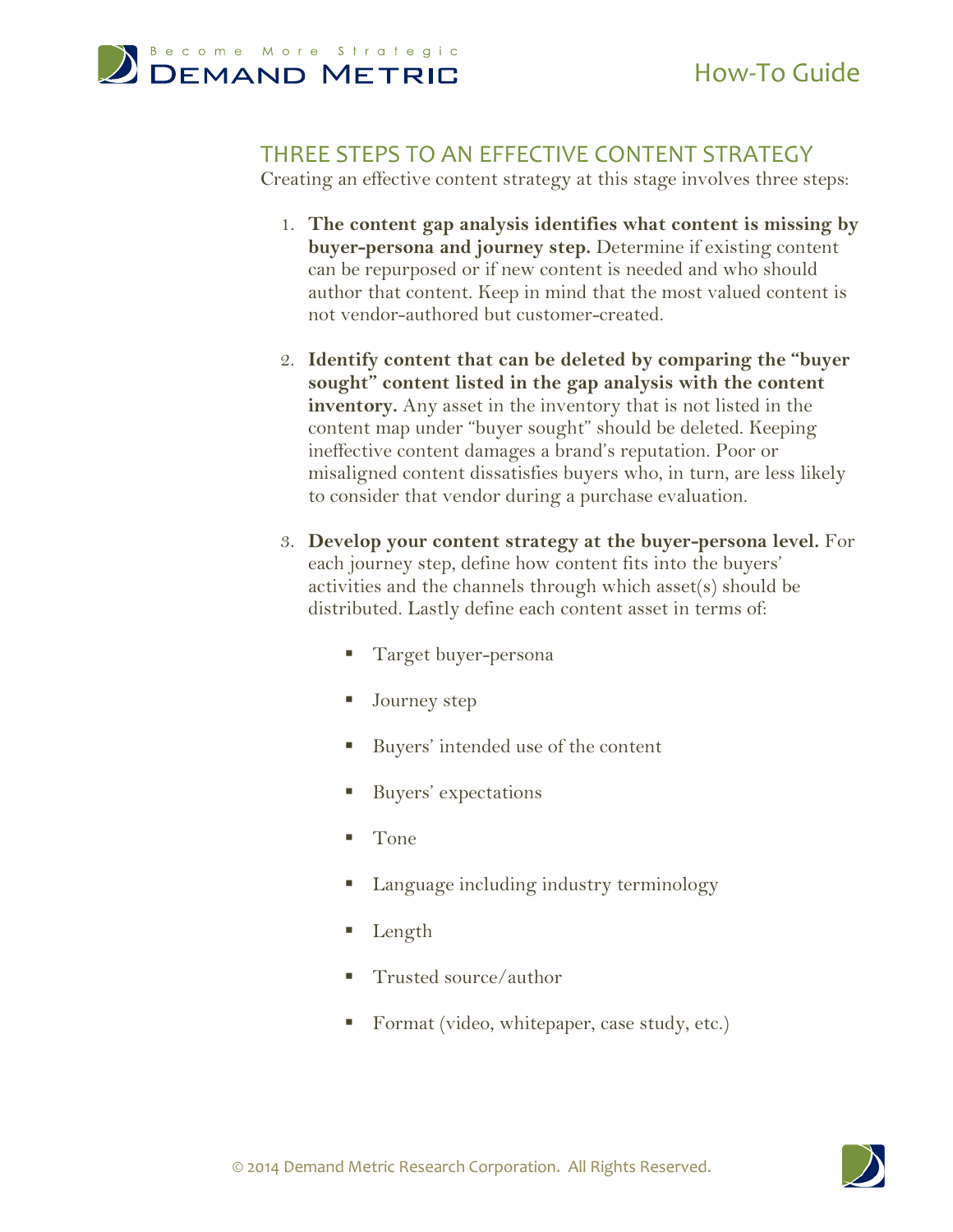

#### THREE STEPS TO AN EFFECTIVE CONTENT STRATEGY

Creating an effective content strategy at this stage involves three steps:

- 1. **The content gap analysis identifies what content is missing by buyer-persona and journey step.** Determine if existing content can be repurposed or if new content is needed and who should author that content. Keep in mind that the most valued content is not vendor-authored but customer-created.
- 2. **Identify content that can be deleted by comparing the "buyer sought" content listed in the gap analysis with the content inventory.** Any asset in the inventory that is not listed in the content map under "buyer sought" should be deleted. Keeping ineffective content damages a brand's reputation. Poor or misaligned content dissatisfies buyers who, in turn, are less likely to consider that vendor during a purchase evaluation.
- 3. **Develop your content strategy at the buyer-persona level.** For each journey step, define how content fits into the buyers' activities and the channels through which asset(s) should be distributed. Lastly define each content asset in terms of:
	- Target buyer-persona
	- Journey step
	- Buyers' intended use of the content
	- **Buyers'** expectations
	- Tone
	- Language including industry terminology
	- Length
	- Trusted source/author
	- Format (video, whitepaper, case study, etc.)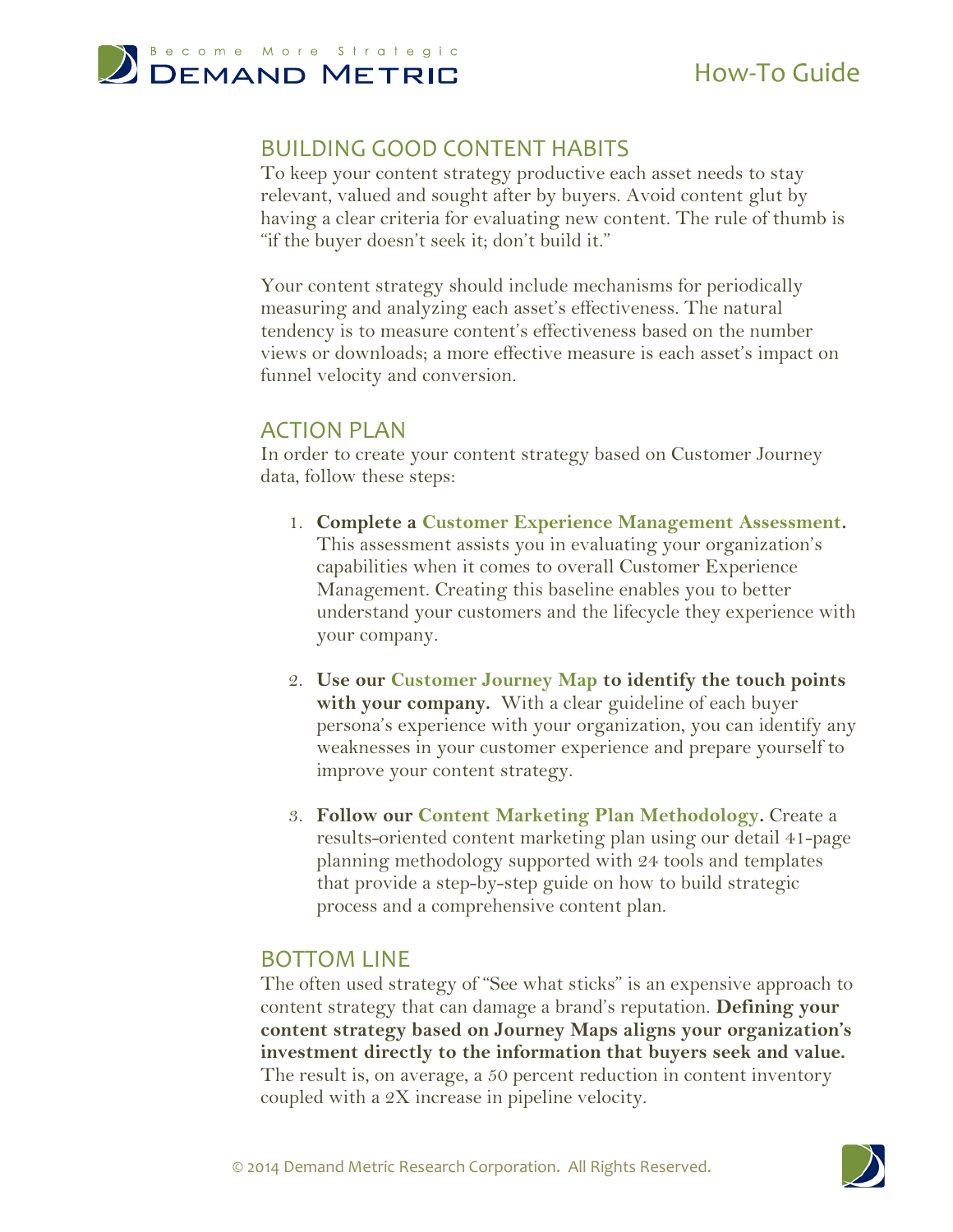

# How-To Guide

## BUILDING GOOD CONTENT HABITS

To keep your content strategy productive each asset needs to stay relevant, valued and sought after by buyers. Avoid content glut by having a clear criteria for evaluating new content. The rule of thumb is "if the buyer doesn't seek it; don't build it."

Your content strategy should include mechanisms for periodically measuring and analyzing each asset's effectiveness. The natural tendency is to measure content's effectiveness based on the number views or downloads; a more effective measure is each asset's impact on funnel velocity and conversion.

### ACTION PLAN

In order to create your content strategy based on Customer Journey data, follow these steps:

- 1. **Complete a [Customer Experience Management Assessment.](http://www.demandmetric.com/content/customer-experience-management-assessment)** This assessment assists you in evaluating your organization's capabilities when it comes to overall Customer Experience Management. Creating this baseline enables you to better understand your customers and the lifecycle they experience with your company.
- 2. **Use our [Customer Journey Map](http://www.demandmetric.com/content/customer-journey-map) to identify the touch points with your company.** With a clear guideline of each buyer persona's experience with your organization, you can identify any weaknesses in your customer experience and prepare yourself to improve your content strategy.
- 3. **Follow our [Content Marketing Plan Methodology.](http://www.demandmetric.com/content/content-marketing-plan-methodology)** Create a results-oriented content marketing plan using our detail 41-page planning methodology supported with 24 tools and templates that provide a step-by-step guide on how to build strategic process and a comprehensive content plan.

### BOTTOM LINE

The often used strategy of "See what sticks" is an expensive approach to content strategy that can damage a brand's reputation. **Defining your content strategy based on Journey Maps aligns your organization's investment directly to the information that buyers seek and value.** The result is, on average, a 50 percent reduction in content inventory coupled with a 2X increase in pipeline velocity.